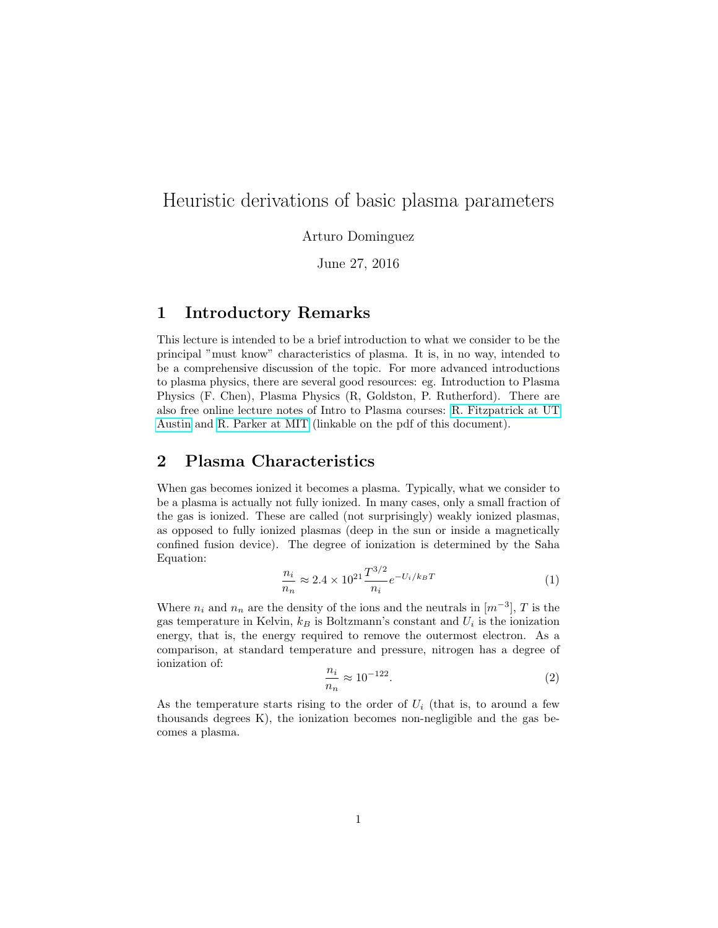# Heuristic derivations of basic plasma parameters

#### Arturo Dominguez

June 27, 2016

### 1 Introductory Remarks

This lecture is intended to be a brief introduction to what we consider to be the principal "must know" characteristics of plasma. It is, in no way, intended to be a comprehensive discussion of the topic. For more advanced introductions to plasma physics, there are several good resources: eg. Introduction to Plasma Physics (F. Chen), Plasma Physics (R, Goldston, P. Rutherford). There are also free online lecture notes of Intro to Plasma courses: [R. Fitzpatrick at UT](http://farside.ph.utexas.edu/teaching/plasma/plasma.html) [Austin](http://farside.ph.utexas.edu/teaching/plasma/plasma.html) and [R. Parker at MIT](http://ocw.mit.edu/courses/nuclear-engineering/22-611j-introduction-to-plasma-physics-i-fall-2006/) (linkable on the pdf of this document).

## 2 Plasma Characteristics

When gas becomes ionized it becomes a plasma. Typically, what we consider to be a plasma is actually not fully ionized. In many cases, only a small fraction of the gas is ionized. These are called (not surprisingly) weakly ionized plasmas, as opposed to fully ionized plasmas (deep in the sun or inside a magnetically confined fusion device). The degree of ionization is determined by the Saha Equation:

$$
\frac{n_i}{n_n} \approx 2.4 \times 10^{21} \frac{T^{3/2}}{n_i} e^{-U_i/k_B T}
$$
 (1)

Where  $n_i$  and  $n_n$  are the density of the ions and the neutrals in  $[m^{-3}]$ , T is the gas temperature in Kelvin,  $k_B$  is Boltzmann's constant and  $U_i$  is the ionization energy, that is, the energy required to remove the outermost electron. As a comparison, at standard temperature and pressure, nitrogen has a degree of ionization of:

$$
\frac{n_i}{n_n} \approx 10^{-122}.\tag{2}
$$

As the temperature starts rising to the order of  $U_i$  (that is, to around a few thousands degrees K), the ionization becomes non-negligible and the gas becomes a plasma.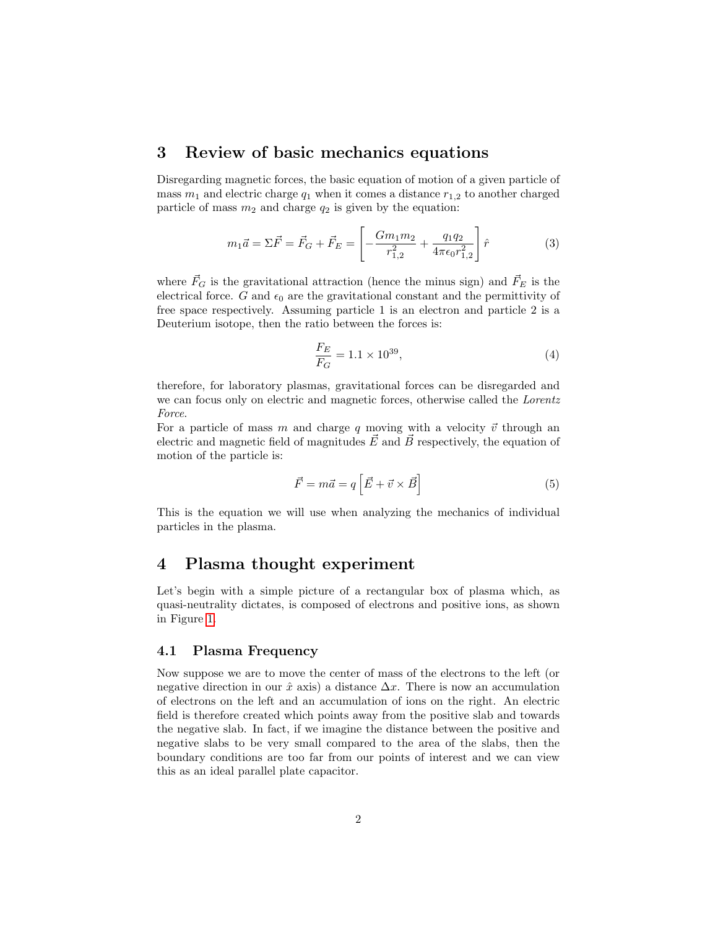### 3 Review of basic mechanics equations

Disregarding magnetic forces, the basic equation of motion of a given particle of mass  $m_1$  and electric charge  $q_1$  when it comes a distance  $r_{1,2}$  to another charged particle of mass  $m_2$  and charge  $q_2$  is given by the equation:

$$
m_1 \vec{a} = \Sigma \vec{F} = \vec{F}_G + \vec{F}_E = \left[ -\frac{Gm_1 m_2}{r_{1,2}^2} + \frac{q_1 q_2}{4\pi \epsilon_0 r_{1,2}^2} \right] \hat{r}
$$
(3)

where  $\vec{F}_G$  is the gravitational attraction (hence the minus sign) and  $\vec{F}_E$  is the electrical force. G and  $\epsilon_0$  are the gravitational constant and the permittivity of free space respectively. Assuming particle 1 is an electron and particle 2 is a Deuterium isotope, then the ratio between the forces is:

$$
\frac{F_E}{F_G} = 1.1 \times 10^{39},\tag{4}
$$

therefore, for laboratory plasmas, gravitational forces can be disregarded and we can focus only on electric and magnetic forces, otherwise called the Lorentz Force.

For a particle of mass m and charge q moving with a velocity  $\vec{v}$  through an electric and magnetic field of magnitudes  $\vec{E}$  and  $\vec{B}$  respectively, the equation of motion of the particle is:

<span id="page-1-0"></span>
$$
\vec{F} = m\vec{a} = q \left[ \vec{E} + \vec{v} \times \vec{B} \right]
$$
 (5)

This is the equation we will use when analyzing the mechanics of individual particles in the plasma.

## 4 Plasma thought experiment

Let's begin with a simple picture of a rectangular box of plasma which, as quasi-neutrality dictates, is composed of electrons and positive ions, as shown in Figure [1.](#page-2-0)

#### 4.1 Plasma Frequency

Now suppose we are to move the center of mass of the electrons to the left (or negative direction in our  $\hat{x}$  axis) a distance  $\Delta x$ . There is now an accumulation of electrons on the left and an accumulation of ions on the right. An electric field is therefore created which points away from the positive slab and towards the negative slab. In fact, if we imagine the distance between the positive and negative slabs to be very small compared to the area of the slabs, then the boundary conditions are too far from our points of interest and we can view this as an ideal parallel plate capacitor.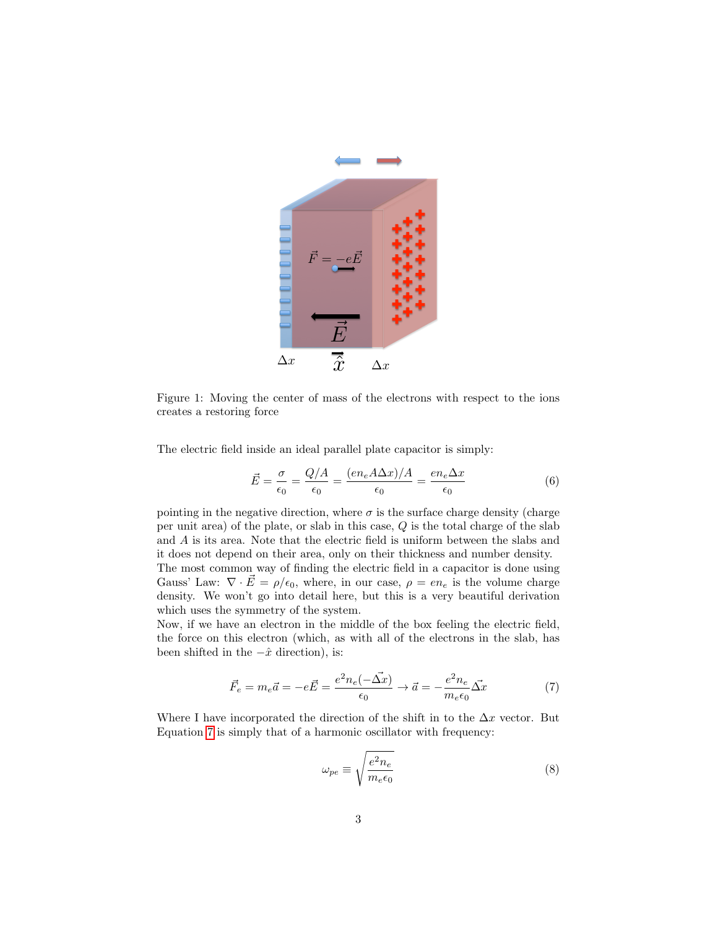

<span id="page-2-0"></span>Figure 1: Moving the center of mass of the electrons with respect to the ions creates a restoring force

The electric field inside an ideal parallel plate capacitor is simply:

$$
\vec{E} = \frac{\sigma}{\epsilon_0} = \frac{Q/A}{\epsilon_0} = \frac{(en_e A \Delta x)/A}{\epsilon_0} = \frac{en_e \Delta x}{\epsilon_0} \tag{6}
$$

pointing in the negative direction, where  $\sigma$  is the surface charge density (charge per unit area) of the plate, or slab in this case,  $Q$  is the total charge of the slab and A is its area. Note that the electric field is uniform between the slabs and it does not depend on their area, only on their thickness and number density. The most common way of finding the electric field in a capacitor is done using Gauss' Law:  $\nabla \cdot \vec{E} = \rho/\epsilon_0$ , where, in our case,  $\rho = en_e$  is the volume charge density. We won't go into detail here, but this is a very beautiful derivation which uses the symmetry of the system.

Now, if we have an electron in the middle of the box feeling the electric field, the force on this electron (which, as with all of the electrons in the slab, has been shifted in the  $-\hat{x}$  direction), is:

$$
\vec{F}_e = m_e \vec{a} = -e\vec{E} = \frac{e^2 n_e (-\vec{\Delta x})}{\epsilon_0} \to \vec{a} = -\frac{e^2 n_e}{m_e \epsilon_0} \vec{\Delta x}
$$
(7)

Where I have incorporated the direction of the shift in to the  $\Delta x$  vector. But Equation [7](#page-2-1) is simply that of a harmonic oscillator with frequency:

<span id="page-2-1"></span>
$$
\omega_{pe} \equiv \sqrt{\frac{e^2 n_e}{m_e \epsilon_0}}\tag{8}
$$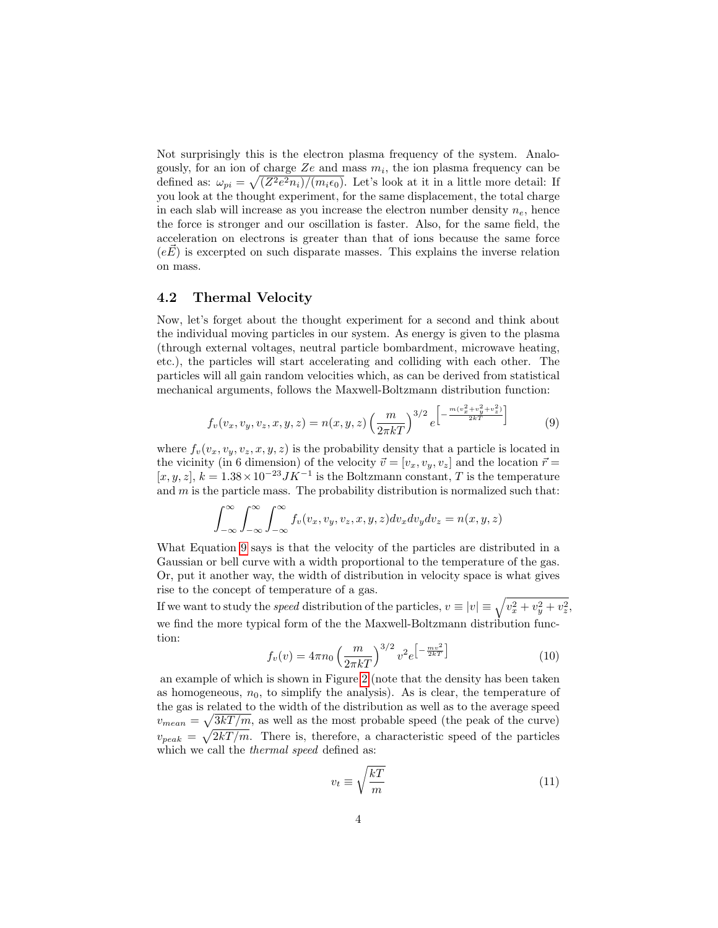Not surprisingly this is the electron plasma frequency of the system. Analogously, for an ion of charge  $Ze$  and mass  $m_i$ , the ion plasma frequency can be defined as:  $\omega_{pi} = \sqrt{(Z^2 e^2 n_i)/(m_i \epsilon_0)}$ . Let's look at it in a little more detail: If you look at the thought experiment, for the same displacement, the total charge in each slab will increase as you increase the electron number density  $n_e$ , hence the force is stronger and our oscillation is faster. Also, for the same field, the acceleration on electrons is greater than that of ions because the same force  $(e\vec{E})$  is excerpted on such disparate masses. This explains the inverse relation on mass.

#### 4.2 Thermal Velocity

Now, let's forget about the thought experiment for a second and think about the individual moving particles in our system. As energy is given to the plasma (through external voltages, neutral particle bombardment, microwave heating, etc.), the particles will start accelerating and colliding with each other. The particles will all gain random velocities which, as can be derived from statistical mechanical arguments, follows the Maxwell-Boltzmann distribution function:

<span id="page-3-0"></span>
$$
f_v(v_x, v_y, v_z, x, y, z) = n(x, y, z) \left(\frac{m}{2\pi kT}\right)^{3/2} e^{\left[-\frac{m(v_x^2 + v_y^2 + v_z^2)}{2kT}\right]}
$$
(9)

where  $f_v(v_x, v_y, v_z, x, y, z)$  is the probability density that a particle is located in the vicinity (in 6 dimension) of the velocity  $\vec{v} = [v_x, v_y, v_z]$  and the location  $\vec{r} =$  $[x, y, z], k = 1.38 \times 10^{-23} J K^{-1}$  is the Boltzmann constant, T is the temperature and  $m$  is the particle mass. The probability distribution is normalized such that:

$$
\int_{-\infty}^{\infty} \int_{-\infty}^{\infty} \int_{-\infty}^{\infty} f_v(v_x, v_y, v_z, x, y, z) dv_x dv_y dv_z = n(x, y, z)
$$

What Equation [9](#page-3-0) says is that the velocity of the particles are distributed in a Gaussian or bell curve with a width proportional to the temperature of the gas. Or, put it another way, the width of distribution in velocity space is what gives rise to the concept of temperature of a gas.

If we want to study the *speed* distribution of the particles,  $v \equiv |v| \equiv \sqrt{v_x^2 + v_y^2 + v_z^2}$ , we find the more typical form of the the Maxwell-Boltzmann distribution function:

$$
f_v(v) = 4\pi n_0 \left(\frac{m}{2\pi kT}\right)^{3/2} v^2 e^{\left[-\frac{mv^2}{2kT}\right]}
$$
 (10)

an example of which is shown in Figure [2](#page-4-0) (note that the density has been taken as homogeneous,  $n_0$ , to simplify the analysis). As is clear, the temperature of the gas is related to the width of the distribution as well as to the average speed  $v_{mean} = \sqrt{3kT/m}$ , as well as the most probable speed (the peak of the curve)  $v_{peak} = \sqrt{2kT/m}$ . There is, therefore, a characteristic speed of the particles which we call the *thermal speed* defined as:

<span id="page-3-1"></span>
$$
v_t \equiv \sqrt{\frac{kT}{m}}\tag{11}
$$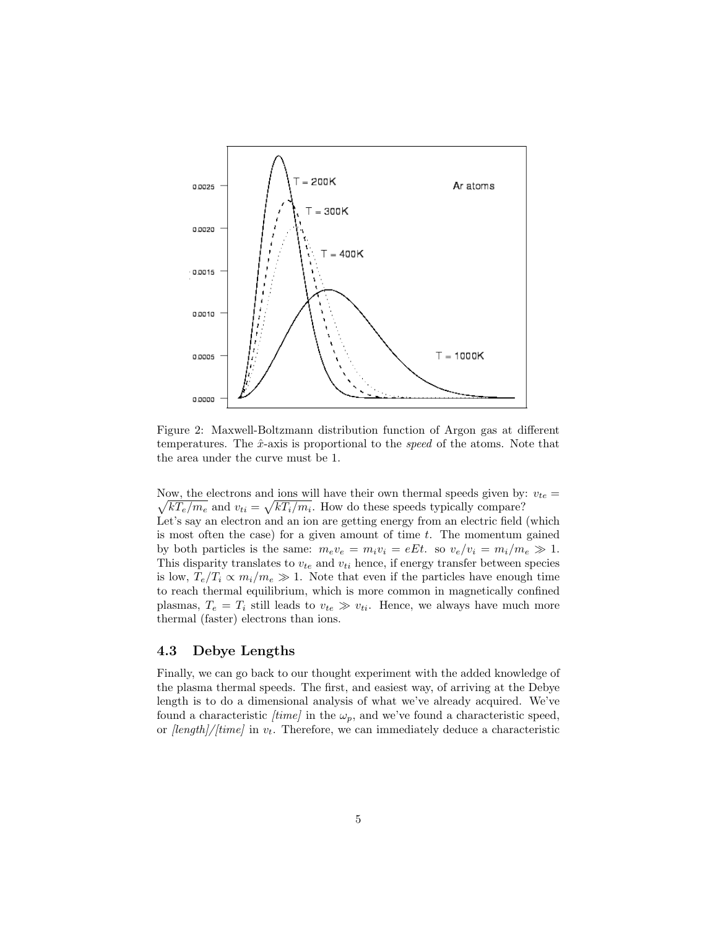

<span id="page-4-0"></span>Figure 2: Maxwell-Boltzmann distribution function of Argon gas at different temperatures. The  $\hat{x}$ -axis is proportional to the *speed* of the atoms. Note that the area under the curve must be 1.

Now, the electrons and ions will have their own thermal speeds given by:  $v_{te} =$  $\sqrt{kT_e/m_e}$  and  $v_{ti} = \sqrt{kT_i/m_i}$ . How do these speeds typically compare? Let's say an electron and an ion are getting energy from an electric field (which is most often the case) for a given amount of time  $t$ . The momentum gained by both particles is the same:  $m_e v_e = m_i v_i = eEt$ . so  $v_e/v_i = m_i/m_e \gg 1$ . This disparity translates to  $v_{te}$  and  $v_{ti}$  hence, if energy transfer between species is low,  $T_e/T_i \propto m_i/m_e \gg 1$ . Note that even if the particles have enough time to reach thermal equilibrium, which is more common in magnetically confined plasmas,  $T_e = T_i$  still leads to  $v_{te} \gg v_{ti}$ . Hence, we always have much more thermal (faster) electrons than ions.

#### 4.3 Debye Lengths

Finally, we can go back to our thought experiment with the added knowledge of the plasma thermal speeds. The first, and easiest way, of arriving at the Debye length is to do a dimensional analysis of what we've already acquired. We've found a characteristic *[time]* in the  $\omega_p$ , and we've found a characteristic speed, or  $\ell$ length $\ell$ /[time] in  $v_t$ . Therefore, we can immediately deduce a characteristic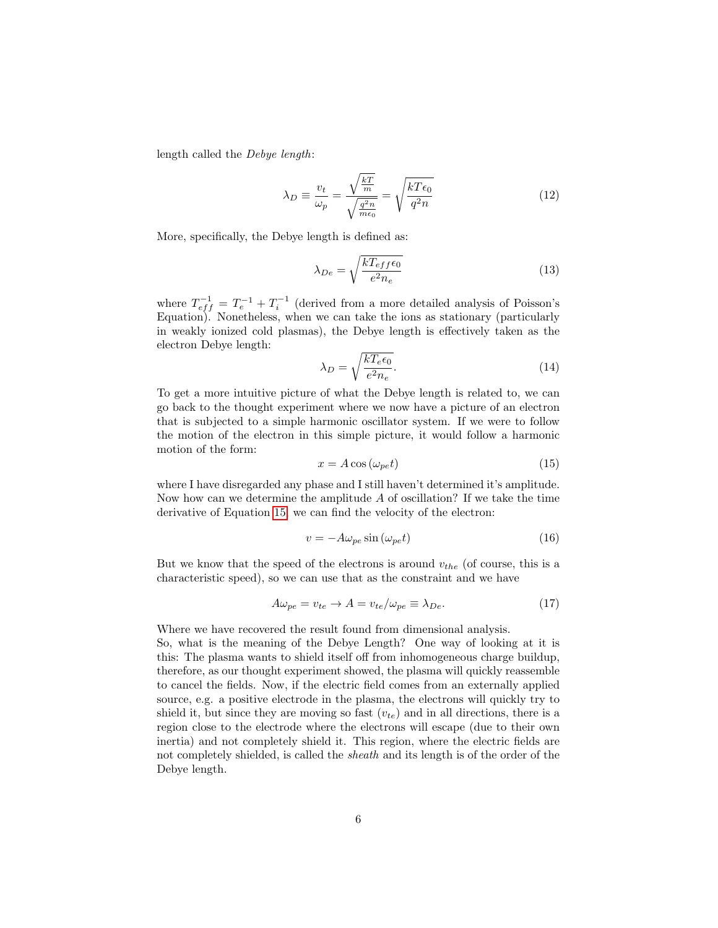length called the Debye length:

$$
\lambda_D \equiv \frac{v_t}{\omega_p} = \frac{\sqrt{\frac{kT}{m}}}{\sqrt{\frac{q^2n}{me_0}}} = \sqrt{\frac{kT\epsilon_0}{q^2n}}
$$
(12)

More, specifically, the Debye length is defined as:

$$
\lambda_{De} = \sqrt{\frac{kT_{eff}\epsilon_0}{e^2 n_e}}\tag{13}
$$

where  $T_{eff}^{-1} = T_e^{-1} + T_i^{-1}$  (derived from a more detailed analysis of Poisson's Equation). Nonetheless, when we can take the ions as stationary (particularly in weakly ionized cold plasmas), the Debye length is effectively taken as the electron Debye length:

$$
\lambda_D = \sqrt{\frac{kT_e \epsilon_0}{e^2 n_e}}.\tag{14}
$$

To get a more intuitive picture of what the Debye length is related to, we can go back to the thought experiment where we now have a picture of an electron that is subjected to a simple harmonic oscillator system. If we were to follow the motion of the electron in this simple picture, it would follow a harmonic motion of the form:

<span id="page-5-0"></span>
$$
x = A\cos\left(\omega_{pe}t\right) \tag{15}
$$

where I have disregarded any phase and I still haven't determined it's amplitude. Now how can we determine the amplitude  $A$  of oscillation? If we take the time derivative of Equation [15,](#page-5-0) we can find the velocity of the electron:

$$
v = -A\omega_{pe}\sin\left(\omega_{pe}t\right) \tag{16}
$$

But we know that the speed of the electrons is around  $v_{the}$  (of course, this is a characteristic speed), so we can use that as the constraint and we have

$$
A\omega_{pe} = v_{te} \to A = v_{te}/\omega_{pe} \equiv \lambda_{De}.
$$
 (17)

Where we have recovered the result found from dimensional analysis.

So, what is the meaning of the Debye Length? One way of looking at it is this: The plasma wants to shield itself off from inhomogeneous charge buildup, therefore, as our thought experiment showed, the plasma will quickly reassemble to cancel the fields. Now, if the electric field comes from an externally applied source, e.g. a positive electrode in the plasma, the electrons will quickly try to shield it, but since they are moving so fast  $(v_{te})$  and in all directions, there is a region close to the electrode where the electrons will escape (due to their own inertia) and not completely shield it. This region, where the electric fields are not completely shielded, is called the sheath and its length is of the order of the Debye length.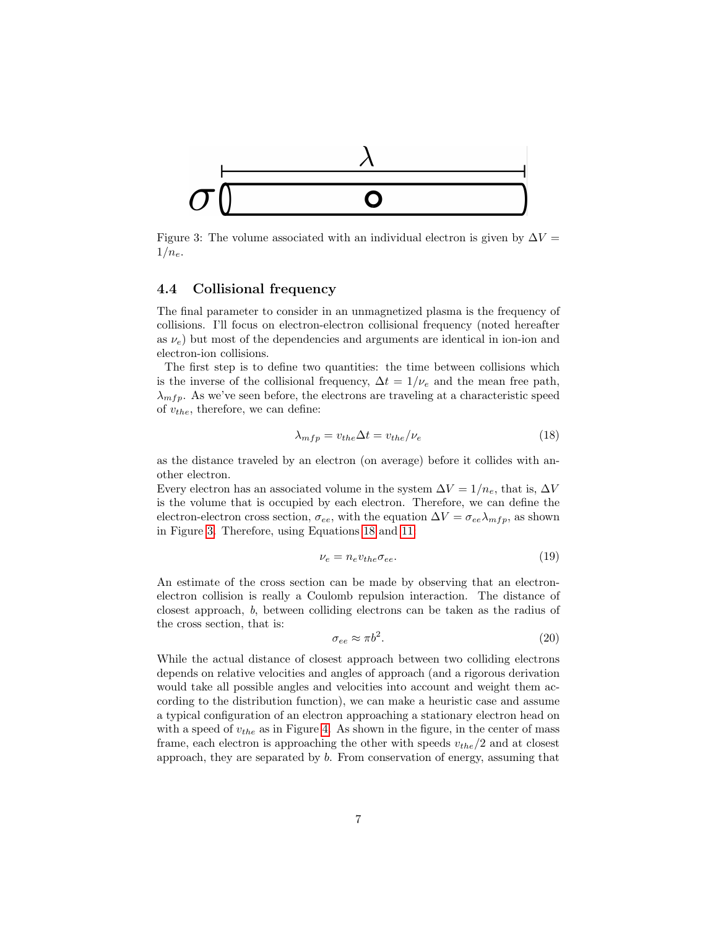

<span id="page-6-0"></span>Figure 3: The volume associated with an individual electron is given by  $\Delta V =$  $1/n_e$ .

#### 4.4 Collisional frequency

The final parameter to consider in an unmagnetized plasma is the frequency of collisions. I'll focus on electron-electron collisional frequency (noted hereafter as  $\nu_e$ ) but most of the dependencies and arguments are identical in ion-ion and electron-ion collisions.

The first step is to define two quantities: the time between collisions which is the inverse of the collisional frequency,  $\Delta t = 1/\nu_e$  and the mean free path,  $\lambda_{mfp}$ . As we've seen before, the electrons are traveling at a characteristic speed of  $v_{the}$ , therefore, we can define:

<span id="page-6-1"></span>
$$
\lambda_{mfp} = v_{the} \Delta t = v_{the}/\nu_e \tag{18}
$$

as the distance traveled by an electron (on average) before it collides with another electron.

Every electron has an associated volume in the system  $\Delta V = 1/n_e$ , that is,  $\Delta V$ is the volume that is occupied by each electron. Therefore, we can define the electron-electron cross section,  $\sigma_{ee}$ , with the equation  $\Delta V = \sigma_{ee} \lambda_{mfp}$ , as shown in Figure [3.](#page-6-0) Therefore, using Equations [18](#page-6-1) and [11:](#page-3-1)

<span id="page-6-3"></span>
$$
\nu_e = n_e v_{the} \sigma_{ee}.\tag{19}
$$

An estimate of the cross section can be made by observing that an electronelectron collision is really a Coulomb repulsion interaction. The distance of closest approach, b, between colliding electrons can be taken as the radius of the cross section, that is:

<span id="page-6-2"></span>
$$
\sigma_{ee} \approx \pi b^2. \tag{20}
$$

While the actual distance of closest approach between two colliding electrons depends on relative velocities and angles of approach (and a rigorous derivation would take all possible angles and velocities into account and weight them according to the distribution function), we can make a heuristic case and assume a typical configuration of an electron approaching a stationary electron head on with a speed of  $v_{the}$  as in Figure [4.](#page-7-0) As shown in the figure, in the center of mass frame, each electron is approaching the other with speeds  $v_{the}/2$  and at closest approach, they are separated by  $b$ . From conservation of energy, assuming that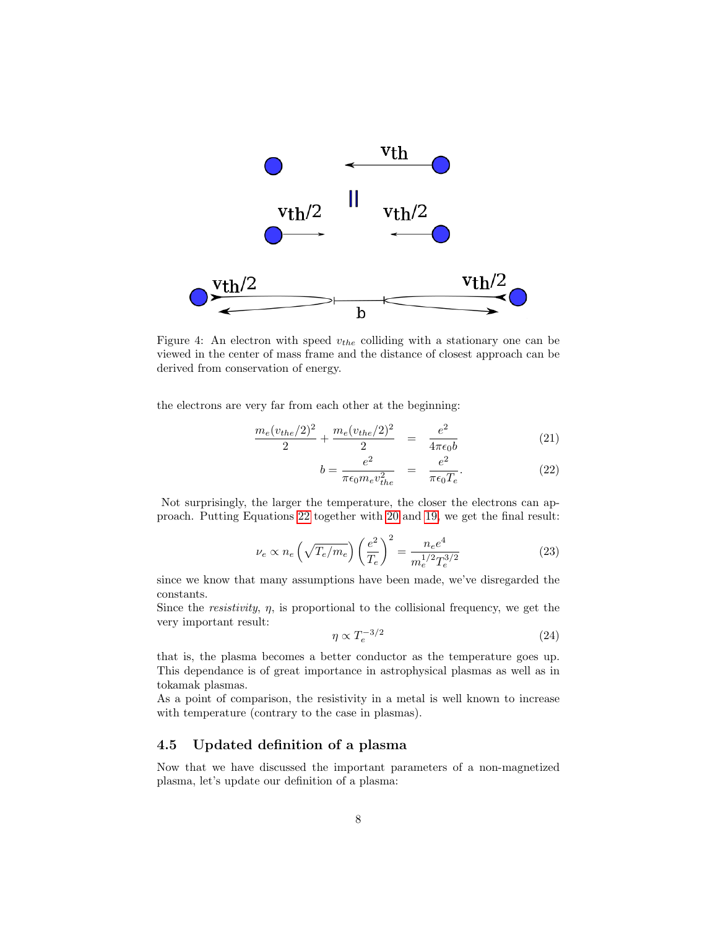

<span id="page-7-0"></span>Figure 4: An electron with speed  $v_{the}$  colliding with a stationary one can be viewed in the center of mass frame and the distance of closest approach can be derived from conservation of energy.

the electrons are very far from each other at the beginning:

<span id="page-7-1"></span>
$$
\frac{m_e(v_{the}/2)^2}{2} + \frac{m_e(v_{the}/2)^2}{2} = \frac{e^2}{4\pi\epsilon_0 b}
$$
 (21)

$$
b = \frac{e^2}{\pi \epsilon_0 m_e v_{the}^2} = \frac{e^2}{\pi \epsilon_0 T_e}.
$$
 (22)

Not surprisingly, the larger the temperature, the closer the electrons can approach. Putting Equations [22](#page-7-1) together with [20](#page-6-2) and [19,](#page-6-3) we get the final result:

$$
\nu_e \propto n_e \left(\sqrt{T_e/m_e}\right) \left(\frac{e^2}{T_e}\right)^2 = \frac{n_e e^4}{m_e^{1/2} T_e^{3/2}}\tag{23}
$$

since we know that many assumptions have been made, we've disregarded the constants.

Since the *resistivity*,  $\eta$ , is proportional to the collisional frequency, we get the very important result:

$$
\eta \propto T_e^{-3/2} \tag{24}
$$

that is, the plasma becomes a better conductor as the temperature goes up. This dependance is of great importance in astrophysical plasmas as well as in tokamak plasmas.

As a point of comparison, the resistivity in a metal is well known to increase with temperature (contrary to the case in plasmas).

#### 4.5 Updated definition of a plasma

Now that we have discussed the important parameters of a non-magnetized plasma, let's update our definition of a plasma: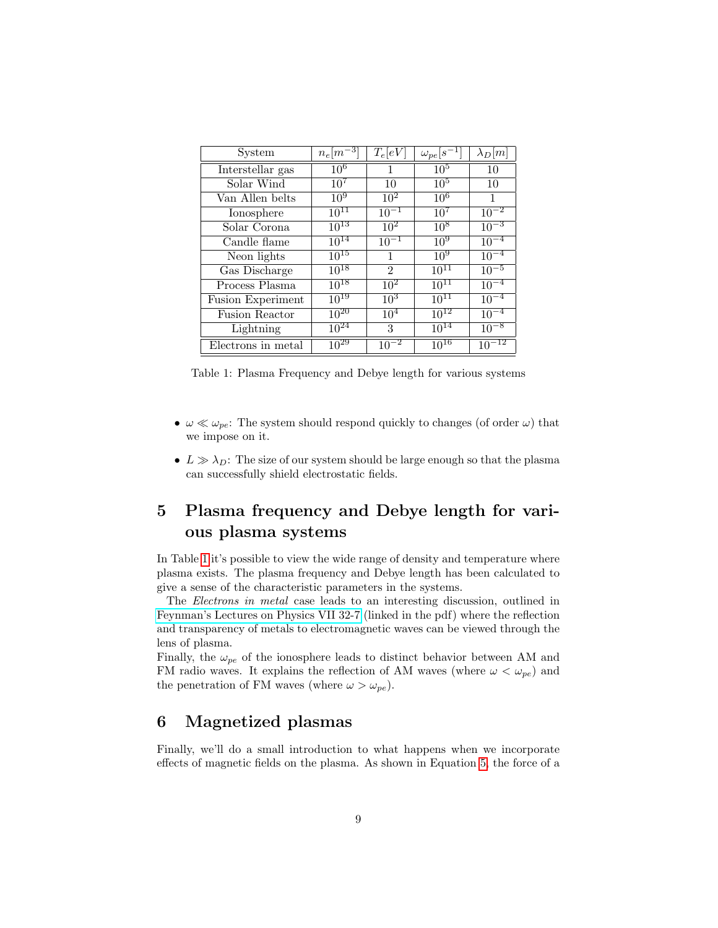| System                   | $n_e[m^{-3}]$   | $T_e[eV]$      | $\omega_{pe}[s^{-1}]$ | $\lambda_D  m $ |
|--------------------------|-----------------|----------------|-----------------------|-----------------|
| Interstellar gas         | 10 <sup>6</sup> | 1              | 10 <sup>5</sup>       | 10              |
| Solar Wind               | 10 <sup>7</sup> | 10             | 10 <sup>5</sup>       | 10              |
| Van Allen belts          | 10 <sup>9</sup> | $10^2$         | 10 <sup>6</sup>       | 1               |
| Ionosphere               | $10^{11}$       | $10^{-1}$      | $10^{7}$              | $10^{-2}$       |
| Solar Corona             | $10^{13}$       | $10^{2}$       | $10^{8}$              | $10^{-3}$       |
| Candle flame             | $10^{14}$       | $10^{-1}$      | $10^{9}$              | $10^{-4}$       |
| Neon lights              | $10^{15}$       | $\mathbf{1}$   | 10 <sup>9</sup>       | $10^{-4}$       |
| Gas Discharge            | $10^{18}$       | $\mathfrak{D}$ | $10^{11}$             | $10^{-5}$       |
| Process Plasma           | $10^{18}$       | $10^2$         | $10^{11}$             | $10^{-4}$       |
| <b>Fusion Experiment</b> | $10^{19}$       | $10^3$         | $10^{11}$             | $10^{-4}$       |
| Fusion Reactor           | $10^{20}$       | $10^{4}$       | $10^{12}$             | $10^{-4}$       |
| Lightning                | $10^{24}$       | 3              | $10^{14}$             | $10^{-8}$       |
| Electrons in metal       | $10^{29}$       | $10^{-2}$      | $10^{16}$             | $10^{-12}$      |

<span id="page-8-0"></span>Table 1: Plasma Frequency and Debye length for various systems

- $\omega \ll \omega_{pe}$ : The system should respond quickly to changes (of order  $\omega$ ) that we impose on it.
- $L \gg \lambda_D$ : The size of our system should be large enough so that the plasma can successfully shield electrostatic fields.

# 5 Plasma frequency and Debye length for various plasma systems

In Table [1](#page-8-0) it's possible to view the wide range of density and temperature where plasma exists. The plasma frequency and Debye length has been calculated to give a sense of the characteristic parameters in the systems.

The Electrons in metal case leads to an interesting discussion, outlined in [Feynman's Lectures on Physics VII 32-7](http://www.feynmanlectures.caltech.edu/II_32.html#Ch32-S6) (linked in the pdf) where the reflection and transparency of metals to electromagnetic waves can be viewed through the lens of plasma.

Finally, the  $\omega_{pe}$  of the ionosphere leads to distinct behavior between AM and FM radio waves. It explains the reflection of AM waves (where  $\omega < \omega_{pe}$ ) and the penetration of FM waves (where  $\omega > \omega_{pe}$ ).

## 6 Magnetized plasmas

Finally, we'll do a small introduction to what happens when we incorporate effects of magnetic fields on the plasma. As shown in Equation [5,](#page-1-0) the force of a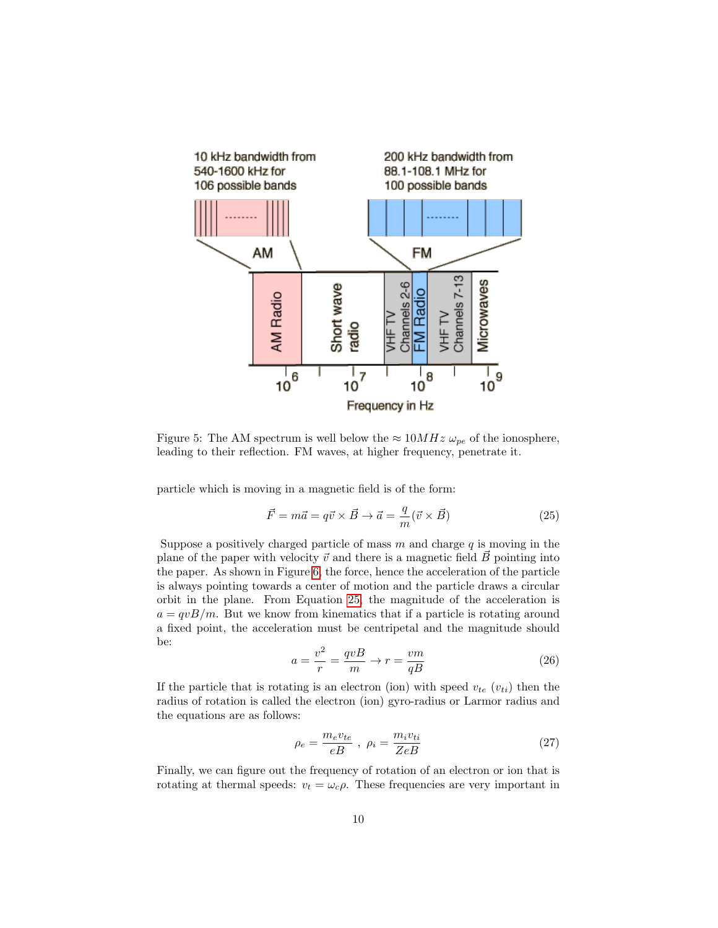

Figure 5: The AM spectrum is well below the  $\approx 10 MHz \omega_{pe}$  of the ionosphere, leading to their reflection. FM waves, at higher frequency, penetrate it.

particle which is moving in a magnetic field is of the form:

<span id="page-9-0"></span>
$$
\vec{F} = m\vec{a} = q\vec{v} \times \vec{B} \to \vec{a} = \frac{q}{m} (\vec{v} \times \vec{B})
$$
\n(25)

Suppose a positively charged particle of mass  $m$  and charge  $q$  is moving in the plane of the paper with velocity  $\vec{v}$  and there is a magnetic field  $\vec{B}$  pointing into the paper. As shown in Figure [6,](#page-10-0) the force, hence the acceleration of the particle is always pointing towards a center of motion and the particle draws a circular orbit in the plane. From Equation [25,](#page-9-0) the magnitude of the acceleration is  $a = qvB/m$ . But we know from kinematics that if a particle is rotating around a fixed point, the acceleration must be centripetal and the magnitude should be:

$$
a = \frac{v^2}{r} = \frac{qvB}{m} \to r = \frac{vm}{qB} \tag{26}
$$

If the particle that is rotating is an electron (ion) with speed  $v_{te}$  ( $v_{ti}$ ) then the radius of rotation is called the electron (ion) gyro-radius or Larmor radius and the equations are as follows:

$$
\rho_e = \frac{m_e v_{te}}{eB} , \ \rho_i = \frac{m_i v_{ti}}{ZeB} \tag{27}
$$

Finally, we can figure out the frequency of rotation of an electron or ion that is rotating at thermal speeds:  $v_t = \omega_c \rho$ . These frequencies are very important in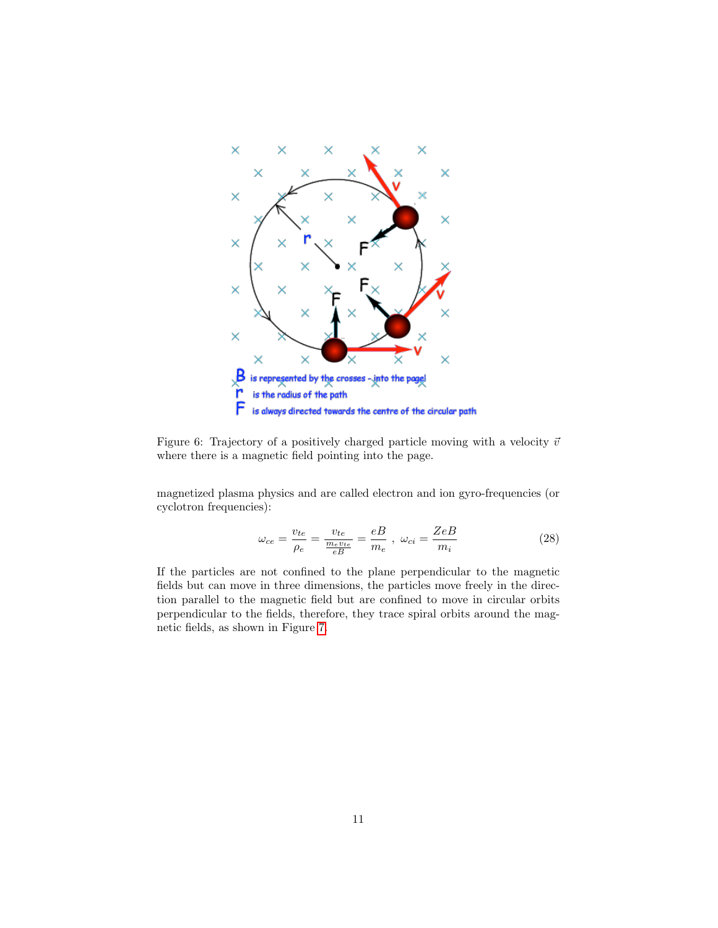

<span id="page-10-0"></span>Figure 6: Trajectory of a positively charged particle moving with a velocity  $\vec{v}$ where there is a magnetic field pointing into the page.

magnetized plasma physics and are called electron and ion gyro-frequencies (or cyclotron frequencies):

$$
\omega_{ce} = \frac{v_{te}}{\rho_e} = \frac{v_{te}}{\frac{m_e v_{te}}{eB}} = \frac{eB}{m_e}, \ \omega_{ci} = \frac{ZeB}{m_i}
$$
 (28)

If the particles are not confined to the plane perpendicular to the magnetic fields but can move in three dimensions, the particles move freely in the direction parallel to the magnetic field but are confined to move in circular orbits perpendicular to the fields, therefore, they trace spiral orbits around the magnetic fields, as shown in Figure [7.](#page-11-0)